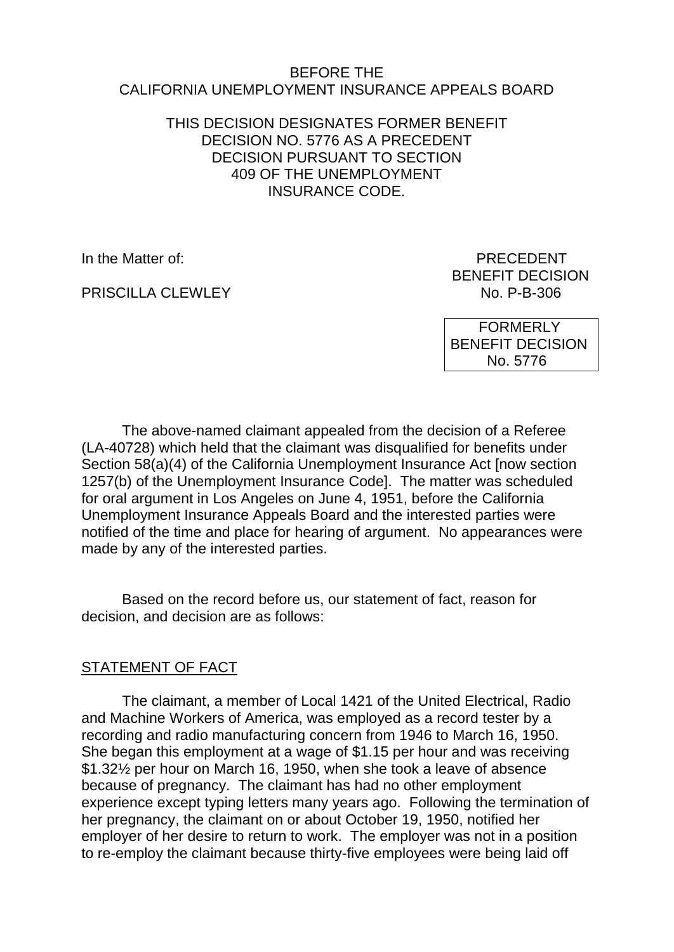#### BEFORE THE CALIFORNIA UNEMPLOYMENT INSURANCE APPEALS BOARD

### THIS DECISION DESIGNATES FORMER BENEFIT DECISION NO. 5776 AS A PRECEDENT DECISION PURSUANT TO SECTION 409 OF THE UNEMPLOYMENT INSURANCE CODE.

PRISCILLA CLEWLEY NO. P-B-306

In the Matter of: **PRECEDENT** BENEFIT DECISION

> FORMERLY BENEFIT DECISION No. 5776

The above-named claimant appealed from the decision of a Referee (LA-40728) which held that the claimant was disqualified for benefits under Section 58(a)(4) of the California Unemployment Insurance Act [now section 1257(b) of the Unemployment Insurance Code]. The matter was scheduled for oral argument in Los Angeles on June 4, 1951, before the California Unemployment Insurance Appeals Board and the interested parties were notified of the time and place for hearing of argument. No appearances were made by any of the interested parties.

Based on the record before us, our statement of fact, reason for decision, and decision are as follows:

## STATEMENT OF FACT

The claimant, a member of Local 1421 of the United Electrical, Radio and Machine Workers of America, was employed as a record tester by a recording and radio manufacturing concern from 1946 to March 16, 1950. She began this employment at a wage of \$1.15 per hour and was receiving \$1.32½ per hour on March 16, 1950, when she took a leave of absence because of pregnancy. The claimant has had no other employment experience except typing letters many years ago. Following the termination of her pregnancy, the claimant on or about October 19, 1950, notified her employer of her desire to return to work. The employer was not in a position to re-employ the claimant because thirty-five employees were being laid off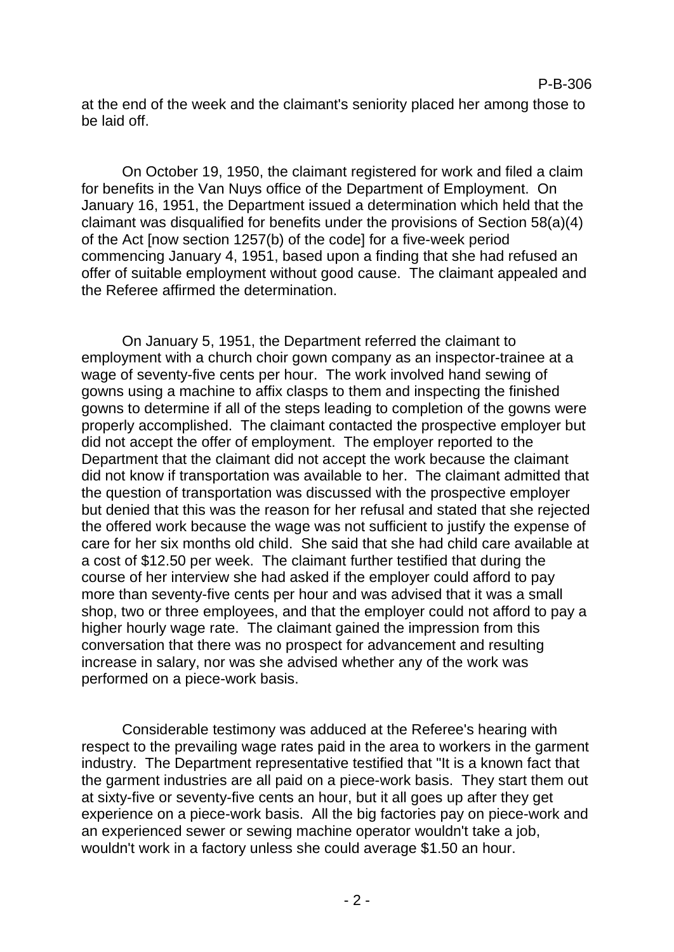at the end of the week and the claimant's seniority placed her among those to be laid off.

On October 19, 1950, the claimant registered for work and filed a claim for benefits in the Van Nuys office of the Department of Employment. On January 16, 1951, the Department issued a determination which held that the claimant was disqualified for benefits under the provisions of Section 58(a)(4) of the Act [now section 1257(b) of the code] for a five-week period commencing January 4, 1951, based upon a finding that she had refused an offer of suitable employment without good cause. The claimant appealed and the Referee affirmed the determination.

On January 5, 1951, the Department referred the claimant to employment with a church choir gown company as an inspector-trainee at a wage of seventy-five cents per hour. The work involved hand sewing of gowns using a machine to affix clasps to them and inspecting the finished gowns to determine if all of the steps leading to completion of the gowns were properly accomplished. The claimant contacted the prospective employer but did not accept the offer of employment. The employer reported to the Department that the claimant did not accept the work because the claimant did not know if transportation was available to her. The claimant admitted that the question of transportation was discussed with the prospective employer but denied that this was the reason for her refusal and stated that she rejected the offered work because the wage was not sufficient to justify the expense of care for her six months old child. She said that she had child care available at a cost of \$12.50 per week. The claimant further testified that during the course of her interview she had asked if the employer could afford to pay more than seventy-five cents per hour and was advised that it was a small shop, two or three employees, and that the employer could not afford to pay a higher hourly wage rate. The claimant gained the impression from this conversation that there was no prospect for advancement and resulting increase in salary, nor was she advised whether any of the work was performed on a piece-work basis.

Considerable testimony was adduced at the Referee's hearing with respect to the prevailing wage rates paid in the area to workers in the garment industry. The Department representative testified that "It is a known fact that the garment industries are all paid on a piece-work basis. They start them out at sixty-five or seventy-five cents an hour, but it all goes up after they get experience on a piece-work basis. All the big factories pay on piece-work and an experienced sewer or sewing machine operator wouldn't take a job, wouldn't work in a factory unless she could average \$1.50 an hour.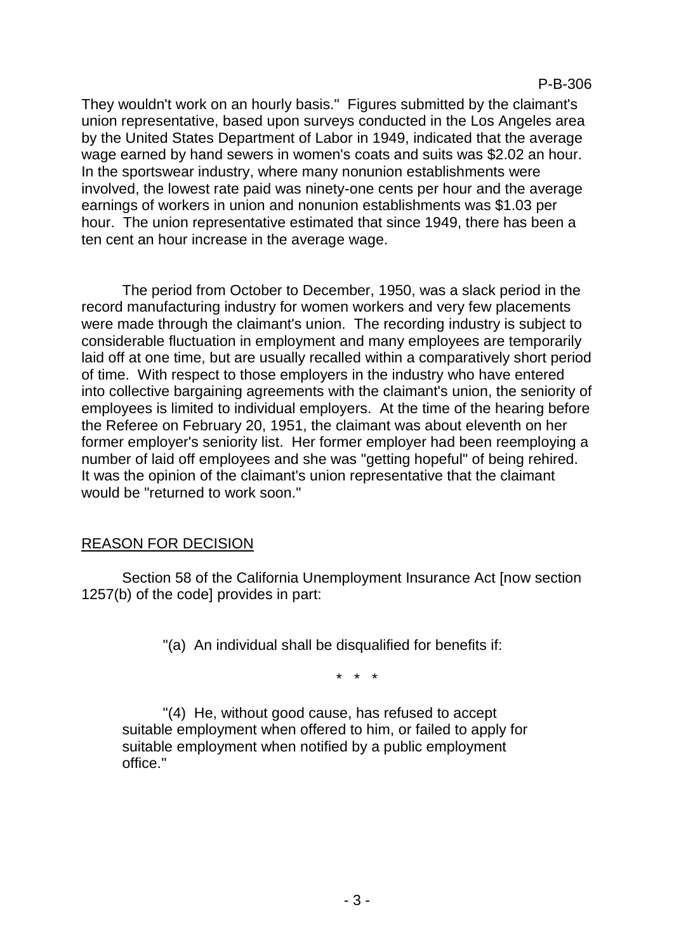They wouldn't work on an hourly basis." Figures submitted by the claimant's union representative, based upon surveys conducted in the Los Angeles area by the United States Department of Labor in 1949, indicated that the average wage earned by hand sewers in women's coats and suits was \$2.02 an hour. In the sportswear industry, where many nonunion establishments were involved, the lowest rate paid was ninety-one cents per hour and the average earnings of workers in union and nonunion establishments was \$1.03 per hour. The union representative estimated that since 1949, there has been a ten cent an hour increase in the average wage.

The period from October to December, 1950, was a slack period in the record manufacturing industry for women workers and very few placements were made through the claimant's union. The recording industry is subject to considerable fluctuation in employment and many employees are temporarily laid off at one time, but are usually recalled within a comparatively short period of time. With respect to those employers in the industry who have entered into collective bargaining agreements with the claimant's union, the seniority of employees is limited to individual employers. At the time of the hearing before the Referee on February 20, 1951, the claimant was about eleventh on her former employer's seniority list. Her former employer had been reemploying a number of laid off employees and she was "getting hopeful" of being rehired. It was the opinion of the claimant's union representative that the claimant would be "returned to work soon."

# REASON FOR DECISION

Section 58 of the California Unemployment Insurance Act [now section 1257(b) of the code] provides in part:

"(a) An individual shall be disqualified for benefits if:

\* \* \*

"(4) He, without good cause, has refused to accept suitable employment when offered to him, or failed to apply for suitable employment when notified by a public employment office."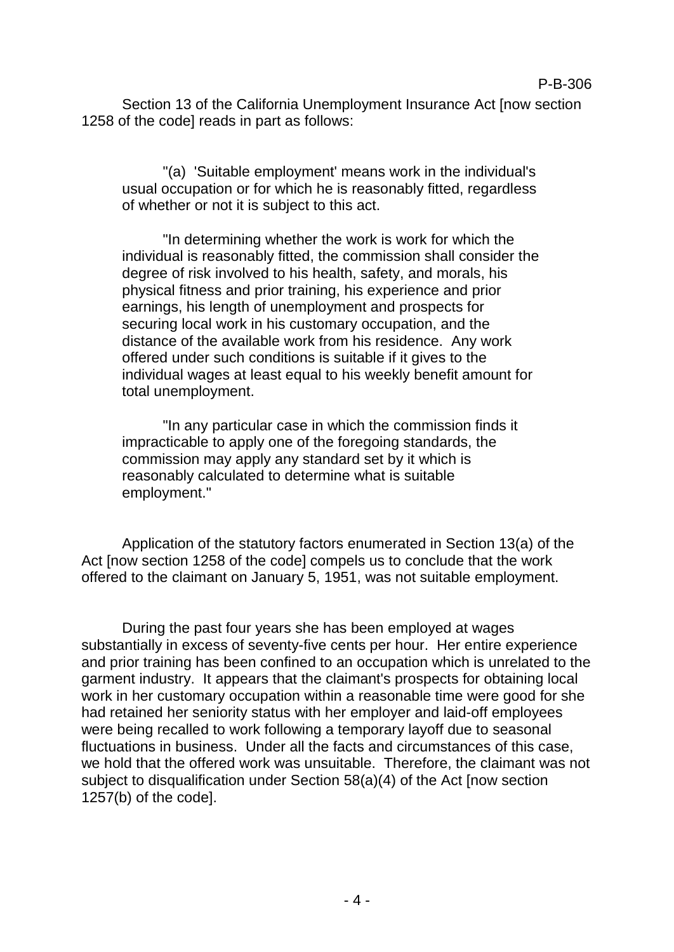Section 13 of the California Unemployment Insurance Act [now section 1258 of the code] reads in part as follows:

"(a) 'Suitable employment' means work in the individual's usual occupation or for which he is reasonably fitted, regardless of whether or not it is subject to this act.

"In determining whether the work is work for which the individual is reasonably fitted, the commission shall consider the degree of risk involved to his health, safety, and morals, his physical fitness and prior training, his experience and prior earnings, his length of unemployment and prospects for securing local work in his customary occupation, and the distance of the available work from his residence. Any work offered under such conditions is suitable if it gives to the individual wages at least equal to his weekly benefit amount for total unemployment.

"In any particular case in which the commission finds it impracticable to apply one of the foregoing standards, the commission may apply any standard set by it which is reasonably calculated to determine what is suitable employment."

Application of the statutory factors enumerated in Section 13(a) of the Act [now section 1258 of the code] compels us to conclude that the work offered to the claimant on January 5, 1951, was not suitable employment.

During the past four years she has been employed at wages substantially in excess of seventy-five cents per hour. Her entire experience and prior training has been confined to an occupation which is unrelated to the garment industry. It appears that the claimant's prospects for obtaining local work in her customary occupation within a reasonable time were good for she had retained her seniority status with her employer and laid-off employees were being recalled to work following a temporary layoff due to seasonal fluctuations in business. Under all the facts and circumstances of this case, we hold that the offered work was unsuitable. Therefore, the claimant was not subject to disqualification under Section 58(a)(4) of the Act [now section 1257(b) of the code].